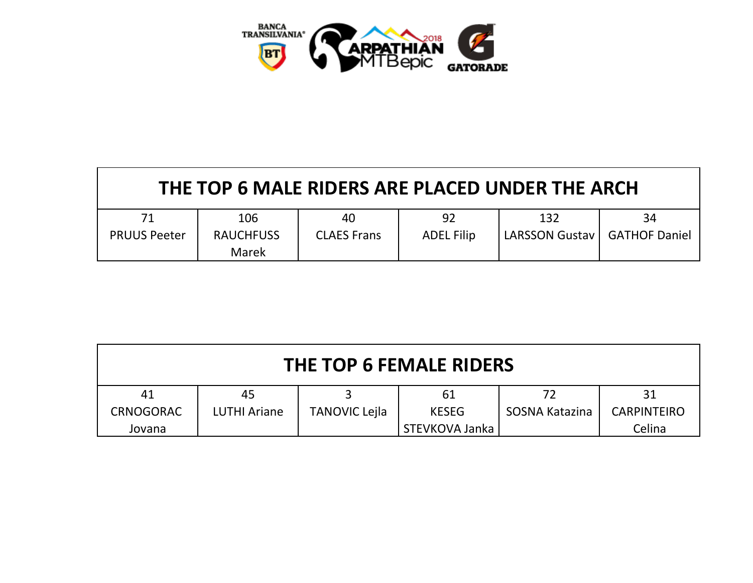

| THE TOP 6 MALE RIDERS ARE PLACED UNDER THE ARCH |                                  |                    |                   |                                |    |  |  |
|-------------------------------------------------|----------------------------------|--------------------|-------------------|--------------------------------|----|--|--|
| 71                                              | 106                              | 40                 | 92                | 132                            | 34 |  |  |
| <b>PRUUS Peeter</b>                             | <b>RAUCHFUSS</b><br><b>Marek</b> | <b>CLAES Frans</b> | <b>ADEL Filip</b> | LARSSON Gustav   GATHOF Daniel |    |  |  |

| THE TOP 6 FEMALE RIDERS |                     |                      |                |                |                    |  |  |
|-------------------------|---------------------|----------------------|----------------|----------------|--------------------|--|--|
| 41                      | 45                  |                      | 61             | 72             | 31                 |  |  |
| <b>CRNOGORAC</b>        | <b>LUTHI Ariane</b> | <b>TANOVIC Lejla</b> | <b>KESEG</b>   | SOSNA Katazina | <b>CARPINTEIRO</b> |  |  |
| Jovana                  |                     |                      | STEVKOVA Janka |                | Celina             |  |  |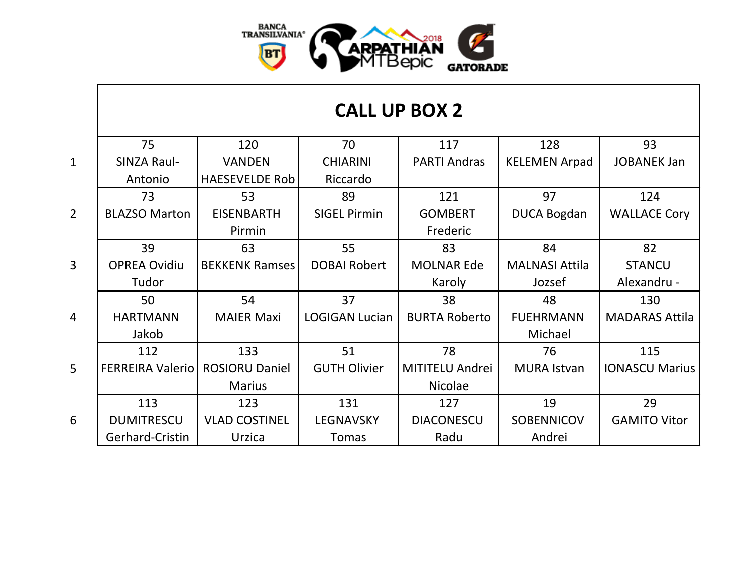

|                | 75                      | 120                   | 70                    | 117                  | 128                   | 93                    |
|----------------|-------------------------|-----------------------|-----------------------|----------------------|-----------------------|-----------------------|
| $\mathbf{1}$   | SINZA Raul-             | <b>VANDEN</b>         | <b>CHIARINI</b>       | <b>PARTI Andras</b>  | <b>KELEMEN Arpad</b>  | <b>JOBANEK Jan</b>    |
|                | Antonio                 | <b>HAESEVELDE Rob</b> | Riccardo              |                      |                       |                       |
|                | 73                      | 53                    | 89                    | 121                  | 97                    | 124                   |
| $\overline{2}$ | <b>BLAZSO Marton</b>    | <b>EISENBARTH</b>     | <b>SIGEL Pirmin</b>   | <b>GOMBERT</b>       | <b>DUCA Bogdan</b>    | <b>WALLACE Cory</b>   |
|                |                         | Pirmin                |                       | Frederic             |                       |                       |
|                | 39                      | 63                    | 55                    | 83                   | 84                    | 82                    |
| $\overline{3}$ | <b>OPREA Ovidiu</b>     | <b>BEKKENK Ramses</b> | <b>DOBAI Robert</b>   | <b>MOLNAR Ede</b>    | <b>MALNASI Attila</b> | <b>STANCU</b>         |
|                | Tudor                   |                       |                       | Karoly               | Jozsef                | Alexandru -           |
|                | 50                      | 54                    | 37                    | 38                   | 48                    | 130                   |
| $\overline{4}$ | <b>HARTMANN</b>         | <b>MAIER Maxi</b>     | <b>LOGIGAN Lucian</b> | <b>BURTA Roberto</b> | <b>FUEHRMANN</b>      | <b>MADARAS Attila</b> |
|                | Jakob                   |                       |                       |                      | Michael               |                       |
|                | 112                     | 133                   | 51                    | 78                   | 76                    | 115                   |
| $\overline{5}$ | <b>FERREIRA Valerio</b> | <b>ROSIORU Daniel</b> | <b>GUTH Olivier</b>   | MITITELU Andrei      | <b>MURA Istvan</b>    | <b>IONASCU Marius</b> |
|                |                         | <b>Marius</b>         |                       | <b>Nicolae</b>       |                       |                       |
|                | 113                     | 123                   | 131                   | 127                  | 19                    | 29                    |
| 6              | <b>DUMITRESCU</b>       | <b>VLAD COSTINEL</b>  | <b>LEGNAVSKY</b>      | <b>DIACONESCU</b>    | SOBENNICOV            | <b>GAMITO Vitor</b>   |
|                | Gerhard-Cristin         | Urzica                | Tomas                 | Radu                 | Andrei                |                       |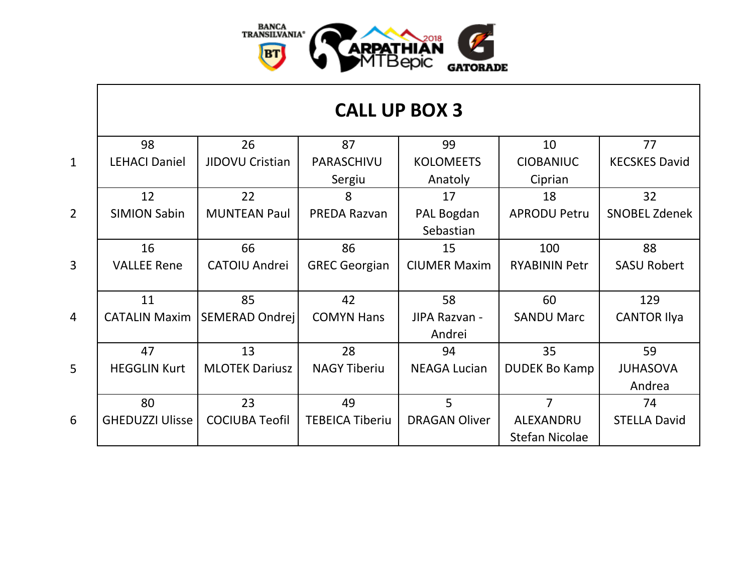

## **CALL UP BOX 3**

|                 | 98                     | 26                    | 87                     | 99                   | 10                    | 77                   |
|-----------------|------------------------|-----------------------|------------------------|----------------------|-----------------------|----------------------|
| $\mathbf{1}$    | <b>LEHACI Daniel</b>   | JIDOVU Cristian       | PARASCHIVU             | <b>KOLOMEETS</b>     | <b>CIOBANIUC</b>      | <b>KECSKES David</b> |
|                 |                        |                       | Sergiu                 | Anatoly              | Ciprian               |                      |
|                 | 12                     | 22                    | 8                      | 17                   | 18                    | 32                   |
| $\overline{2}$  | <b>SIMION Sabin</b>    | <b>MUNTEAN Paul</b>   | <b>PREDA Razvan</b>    | PAL Bogdan           | <b>APRODU Petru</b>   | <b>SNOBEL Zdenek</b> |
|                 |                        |                       |                        | Sebastian            |                       |                      |
|                 | 16                     | 66                    | 86                     | 15                   | 100                   | 88                   |
| $\overline{3}$  | <b>VALLEE Rene</b>     | CATOIU Andrei         | <b>GREC Georgian</b>   | <b>CIUMER Maxim</b>  | <b>RYABININ Petr</b>  | <b>SASU Robert</b>   |
|                 |                        |                       |                        |                      |                       |                      |
|                 | 11                     | 85                    | 42                     | 58                   | 60                    | 129                  |
| $\overline{4}$  | <b>CATALIN Maxim</b>   | SEMERAD Ondrej        | <b>COMYN Hans</b>      | JIPA Razvan -        | <b>SANDU Marc</b>     | <b>CANTOR Ilya</b>   |
|                 |                        |                       |                        | Andrei               |                       |                      |
|                 | 47                     | 13                    | 28                     | 94                   | 35                    | 59                   |
| $5\overline{)}$ | <b>HEGGLIN Kurt</b>    | <b>MLOTEK Dariusz</b> | <b>NAGY Tiberiu</b>    | <b>NEAGA Lucian</b>  | <b>DUDEK Bo Kamp</b>  | <b>JUHASOVA</b>      |
|                 |                        |                       |                        |                      |                       | Andrea               |
|                 | 80                     | 23                    | 49                     | 5                    | $\overline{7}$        | 74                   |
| 6               | <b>GHEDUZZI Ulisse</b> | <b>COCIUBA Teofil</b> | <b>TEBEICA Tiberiu</b> | <b>DRAGAN Oliver</b> | ALEXANDRU             | <b>STELLA David</b>  |
|                 |                        |                       |                        |                      | <b>Stefan Nicolae</b> |                      |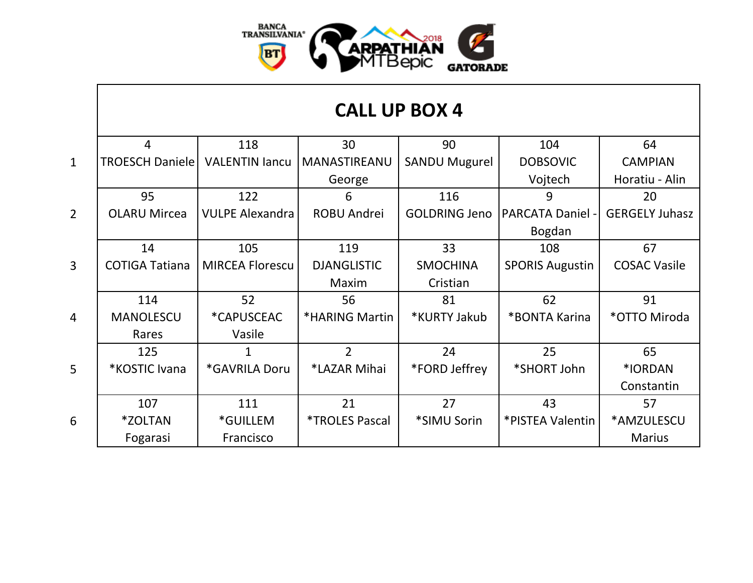

## **CALL UP BOX 4**

|                 | 4                      | 118                    | 30                           | 90                   | 104                     | 64                    |
|-----------------|------------------------|------------------------|------------------------------|----------------------|-------------------------|-----------------------|
| $\mathbf{1}$    | <b>TROESCH Daniele</b> | <b>VALENTIN lancu</b>  | MANASTIREANU                 | <b>SANDU Mugurel</b> | <b>DOBSOVIC</b>         | <b>CAMPIAN</b>        |
|                 |                        |                        | George                       |                      | Vojtech                 | Horatiu - Alin        |
|                 | 95                     | 122                    | 6                            | 116                  | 9                       | 20                    |
| $\overline{2}$  | <b>OLARU Mircea</b>    | <b>VULPE Alexandra</b> | <b>ROBU Andrei</b>           | <b>GOLDRING Jeno</b> | <b>PARCATA Daniel -</b> | <b>GERGELY Juhasz</b> |
|                 |                        |                        |                              |                      | Bogdan                  |                       |
|                 | 14                     | 105                    | 119                          | 33                   | 108                     | 67                    |
| $\overline{3}$  | <b>COTIGA Tatiana</b>  | <b>MIRCEA Florescu</b> | <b>DJANGLISTIC</b>           | <b>SMOCHINA</b>      | <b>SPORIS Augustin</b>  | <b>COSAC Vasile</b>   |
|                 |                        |                        | Maxim                        | Cristian             |                         |                       |
|                 | 114                    | 52                     | 56                           | 81                   | 62                      | 91                    |
| $\overline{4}$  | <b>MANOLESCU</b>       | *CAPUSCEAC             | *HARING Martin               | *KURTY Jakub         | *BONTA Karina           | *OTTO Miroda          |
|                 | Rares                  | Vasile                 |                              |                      |                         |                       |
|                 | 125                    | $\mathbf{1}$           | $\overline{2}$               | 24                   | 25                      | 65                    |
| $5\overline{)}$ | *KOSTIC Ivana          | *GAVRILA Doru          | *LAZAR Mihai                 | *FORD Jeffrey        | *SHORT John             | *IORDAN               |
|                 |                        |                        |                              |                      |                         | Constantin            |
|                 | 107                    | 111                    | 21                           | 27                   | 43                      | 57                    |
| 6               | *ZOLTAN                | *GUILLEM               | <i><b>*TROLES Pascal</b></i> | *SIMU Sorin          | *PISTEA Valentin        | *AMZULESCU            |
|                 | Fogarasi               | Francisco              |                              |                      |                         | <b>Marius</b>         |